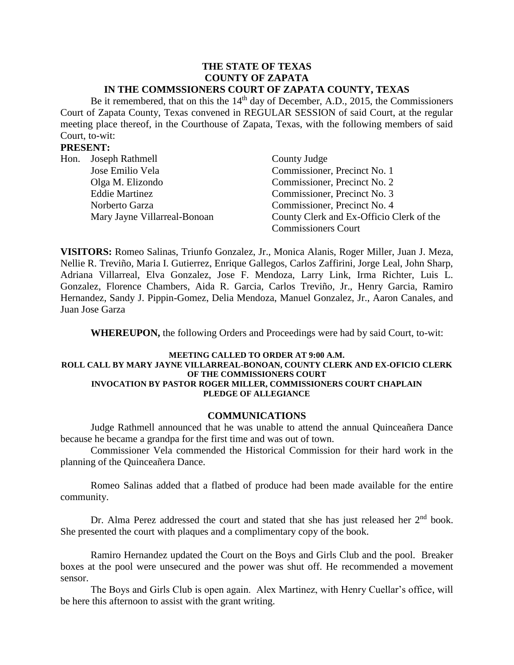# **THE STATE OF TEXAS COUNTY OF ZAPATA**

## **IN THE COMMSSIONERS COURT OF ZAPATA COUNTY, TEXAS**

Be it remembered, that on this the  $14<sup>th</sup>$  day of December, A.D., 2015, the Commissioners Court of Zapata County, Texas convened in REGULAR SESSION of said Court, at the regular meeting place thereof, in the Courthouse of Zapata, Texas, with the following members of said Court, to-wit:

### **PRESENT:**

| Hon. Joseph Rathmell         | County Judge                             |  |
|------------------------------|------------------------------------------|--|
| Jose Emilio Vela             | Commissioner, Precinct No. 1             |  |
| Olga M. Elizondo             | Commissioner, Precinct No. 2             |  |
| <b>Eddie Martinez</b>        | Commissioner, Precinct No. 3             |  |
| Norberto Garza               | Commissioner, Precinct No. 4             |  |
| Mary Jayne Villarreal-Bonoan | County Clerk and Ex-Officio Clerk of the |  |
|                              | <b>Commissioners Court</b>               |  |

**VISITORS:** Romeo Salinas, Triunfo Gonzalez, Jr., Monica Alanis, Roger Miller, Juan J. Meza, Nellie R. Treviño, Maria I. Gutierrez, Enrique Gallegos, Carlos Zaffirini, Jorge Leal, John Sharp, Adriana Villarreal, Elva Gonzalez, Jose F. Mendoza, Larry Link, Irma Richter, Luis L. Gonzalez, Florence Chambers, Aida R. Garcia, Carlos Treviño, Jr., Henry Garcia, Ramiro Hernandez, Sandy J. Pippin-Gomez, Delia Mendoza, Manuel Gonzalez, Jr., Aaron Canales, and Juan Jose Garza

**WHEREUPON,** the following Orders and Proceedings were had by said Court, to-wit:

#### **MEETING CALLED TO ORDER AT 9:00 A.M. ROLL CALL BY MARY JAYNE VILLARREAL-BONOAN, COUNTY CLERK AND EX-OFICIO CLERK OF THE COMMISSIONERS COURT INVOCATION BY PASTOR ROGER MILLER, COMMISSIONERS COURT CHAPLAIN PLEDGE OF ALLEGIANCE**

### **COMMUNICATIONS**

Judge Rathmell announced that he was unable to attend the annual Quinceañera Dance because he became a grandpa for the first time and was out of town.

Commissioner Vela commended the Historical Commission for their hard work in the planning of the Quinceañera Dance.

Romeo Salinas added that a flatbed of produce had been made available for the entire community.

Dr. Alma Perez addressed the court and stated that she has just released her  $2<sup>nd</sup>$  book. She presented the court with plaques and a complimentary copy of the book.

Ramiro Hernandez updated the Court on the Boys and Girls Club and the pool. Breaker boxes at the pool were unsecured and the power was shut off. He recommended a movement sensor.

The Boys and Girls Club is open again. Alex Martinez, with Henry Cuellar's office, will be here this afternoon to assist with the grant writing.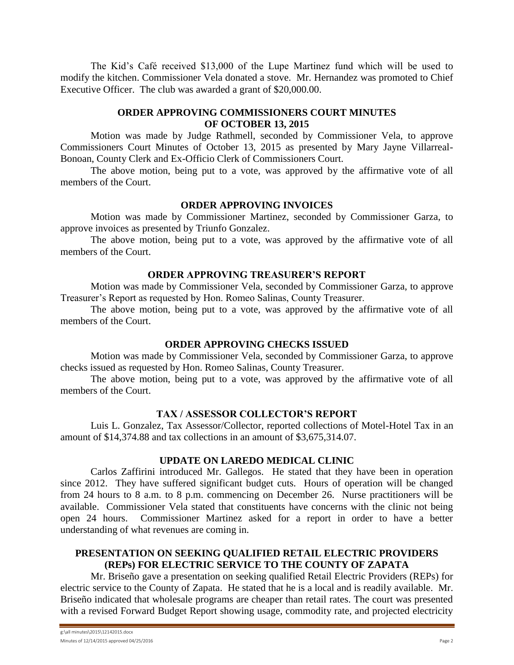The Kid's Café received \$13,000 of the Lupe Martinez fund which will be used to modify the kitchen. Commissioner Vela donated a stove. Mr. Hernandez was promoted to Chief Executive Officer. The club was awarded a grant of \$20,000.00.

### **ORDER APPROVING COMMISSIONERS COURT MINUTES OF OCTOBER 13, 2015**

Motion was made by Judge Rathmell, seconded by Commissioner Vela, to approve Commissioners Court Minutes of October 13, 2015 as presented by Mary Jayne Villarreal-Bonoan, County Clerk and Ex-Officio Clerk of Commissioners Court.

The above motion, being put to a vote, was approved by the affirmative vote of all members of the Court.

### **ORDER APPROVING INVOICES**

Motion was made by Commissioner Martinez, seconded by Commissioner Garza, to approve invoices as presented by Triunfo Gonzalez.

The above motion, being put to a vote, was approved by the affirmative vote of all members of the Court.

### **ORDER APPROVING TREASURER'S REPORT**

Motion was made by Commissioner Vela, seconded by Commissioner Garza, to approve Treasurer's Report as requested by Hon. Romeo Salinas, County Treasurer.

The above motion, being put to a vote, was approved by the affirmative vote of all members of the Court.

### **ORDER APPROVING CHECKS ISSUED**

Motion was made by Commissioner Vela, seconded by Commissioner Garza, to approve checks issued as requested by Hon. Romeo Salinas, County Treasurer.

The above motion, being put to a vote, was approved by the affirmative vote of all members of the Court.

### **TAX / ASSESSOR COLLECTOR'S REPORT**

Luis L. Gonzalez, Tax Assessor/Collector, reported collections of Motel-Hotel Tax in an amount of \$14,374.88 and tax collections in an amount of \$3,675,314.07.

### **UPDATE ON LAREDO MEDICAL CLINIC**

Carlos Zaffirini introduced Mr. Gallegos. He stated that they have been in operation since 2012. They have suffered significant budget cuts. Hours of operation will be changed from 24 hours to 8 a.m. to 8 p.m. commencing on December 26. Nurse practitioners will be available. Commissioner Vela stated that constituents have concerns with the clinic not being open 24 hours. Commissioner Martinez asked for a report in order to have a better understanding of what revenues are coming in.

### **PRESENTATION ON SEEKING QUALIFIED RETAIL ELECTRIC PROVIDERS (REPs) FOR ELECTRIC SERVICE TO THE COUNTY OF ZAPATA**

Mr. Briseño gave a presentation on seeking qualified Retail Electric Providers (REPs) for electric service to the County of Zapata. He stated that he is a local and is readily available. Mr. Briseño indicated that wholesale programs are cheaper than retail rates. The court was presented with a revised Forward Budget Report showing usage, commodity rate, and projected electricity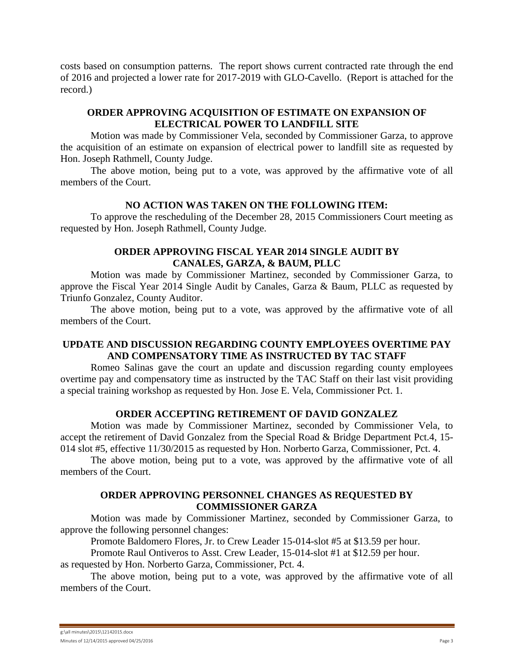costs based on consumption patterns. The report shows current contracted rate through the end of 2016 and projected a lower rate for 2017-2019 with GLO-Cavello. (Report is attached for the record.)

### **ORDER APPROVING ACQUISITION OF ESTIMATE ON EXPANSION OF ELECTRICAL POWER TO LANDFILL SITE**

Motion was made by Commissioner Vela, seconded by Commissioner Garza, to approve the acquisition of an estimate on expansion of electrical power to landfill site as requested by Hon. Joseph Rathmell, County Judge.

The above motion, being put to a vote, was approved by the affirmative vote of all members of the Court.

### **NO ACTION WAS TAKEN ON THE FOLLOWING ITEM:**

To approve the rescheduling of the December 28, 2015 Commissioners Court meeting as requested by Hon. Joseph Rathmell, County Judge.

### **ORDER APPROVING FISCAL YEAR 2014 SINGLE AUDIT BY CANALES, GARZA, & BAUM, PLLC**

Motion was made by Commissioner Martinez, seconded by Commissioner Garza, to approve the Fiscal Year 2014 Single Audit by Canales, Garza & Baum, PLLC as requested by Triunfo Gonzalez, County Auditor.

The above motion, being put to a vote, was approved by the affirmative vote of all members of the Court.

### **UPDATE AND DISCUSSION REGARDING COUNTY EMPLOYEES OVERTIME PAY AND COMPENSATORY TIME AS INSTRUCTED BY TAC STAFF**

Romeo Salinas gave the court an update and discussion regarding county employees overtime pay and compensatory time as instructed by the TAC Staff on their last visit providing a special training workshop as requested by Hon. Jose E. Vela, Commissioner Pct. 1.

### **ORDER ACCEPTING RETIREMENT OF DAVID GONZALEZ**

Motion was made by Commissioner Martinez, seconded by Commissioner Vela, to accept the retirement of David Gonzalez from the Special Road & Bridge Department Pct.4, 15- 014 slot #5, effective 11/30/2015 as requested by Hon. Norberto Garza, Commissioner, Pct. 4.

The above motion, being put to a vote, was approved by the affirmative vote of all members of the Court.

### **ORDER APPROVING PERSONNEL CHANGES AS REQUESTED BY COMMISSIONER GARZA**

Motion was made by Commissioner Martinez, seconded by Commissioner Garza, to approve the following personnel changes:

Promote Baldomero Flores, Jr. to Crew Leader 15-014-slot [#5 at \\$13.59 per hour.](mailto:#5@$13.59/hr)

Promote Raul Ontiveros to Asst. Crew Leader, 15-014-slot #1 at \$12.59 per hour.

as requested by Hon. Norberto Garza, Commissioner, Pct. 4.

The above motion, being put to a vote, was approved by the affirmative vote of all members of the Court.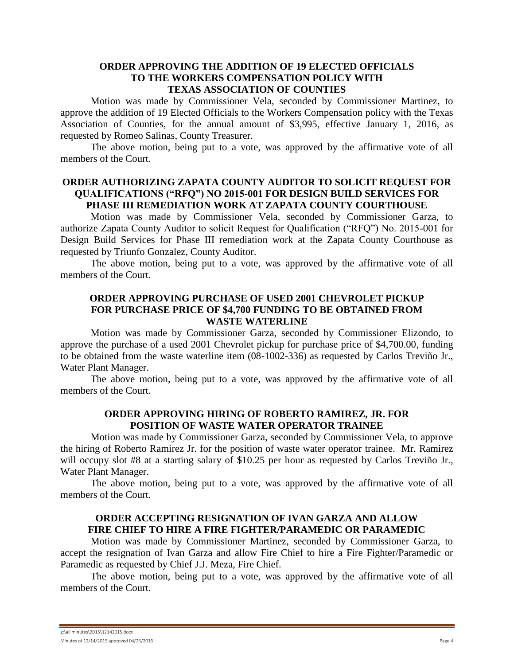#### **ORDER APPROVING THE ADDITION OF 19 ELECTED OFFICIALS TO THE WORKERS COMPENSATION POLICY WITH TEXAS ASSOCIATION OF COUNTIES**

Motion was made by Commissioner Vela, seconded by Commissioner Martinez, to approve the addition of 19 Elected Officials to the Workers Compensation policy with the Texas Association of Counties, for the annual amount of \$3,995, effective January 1, 2016, as requested by Romeo Salinas, County Treasurer.

The above motion, being put to a vote, was approved by the affirmative vote of all members of the Court.

### **ORDER AUTHORIZING ZAPATA COUNTY AUDITOR TO SOLICIT REQUEST FOR QUALIFICATIONS ("RFQ") NO 2015-001 FOR DESIGN BUILD SERVICES FOR PHASE III REMEDIATION WORK AT ZAPATA COUNTY COURTHOUSE**

Motion was made by Commissioner Vela, seconded by Commissioner Garza, to authorize Zapata County Auditor to solicit Request for Qualification ("RFQ") No. 2015-001 for Design Build Services for Phase III remediation work at the Zapata County Courthouse as requested by Triunfo Gonzalez, County Auditor.

The above motion, being put to a vote, was approved by the affirmative vote of all members of the Court.

### **ORDER APPROVING PURCHASE OF USED 2001 CHEVROLET PICKUP FOR PURCHASE PRICE OF \$4,700 FUNDING TO BE OBTAINED FROM WASTE WATERLINE**

Motion was made by Commissioner Garza, seconded by Commissioner Elizondo, to approve the purchase of a used 2001 Chevrolet pickup for purchase price of \$4,700.00, funding to be obtained from the waste waterline item (08-1002-336) as requested by Carlos Treviño Jr., Water Plant Manager.

The above motion, being put to a vote, was approved by the affirmative vote of all members of the Court.

### **ORDER APPROVING HIRING OF ROBERTO RAMIREZ, JR. FOR POSITION OF WASTE WATER OPERATOR TRAINEE**

Motion was made by Commissioner Garza, seconded by Commissioner Vela, to approve the hiring of Roberto Ramirez Jr. for the position of waste water operator trainee. Mr. Ramirez will occupy slot #8 at a starting salary of \$10.25 per hour as requested by Carlos Treviño Jr., Water Plant Manager.

The above motion, being put to a vote, was approved by the affirmative vote of all members of the Court.

### **ORDER ACCEPTING RESIGNATION OF IVAN GARZA AND ALLOW FIRE CHIEF TO HIRE A FIRE FIGHTER/PARAMEDIC OR PARAMEDIC**

Motion was made by Commissioner Martinez, seconded by Commissioner Garza, to accept the resignation of Ivan Garza and allow Fire Chief to hire a Fire Fighter/Paramedic or Paramedic as requested by Chief J.J. Meza, Fire Chief.

The above motion, being put to a vote, was approved by the affirmative vote of all members of the Court.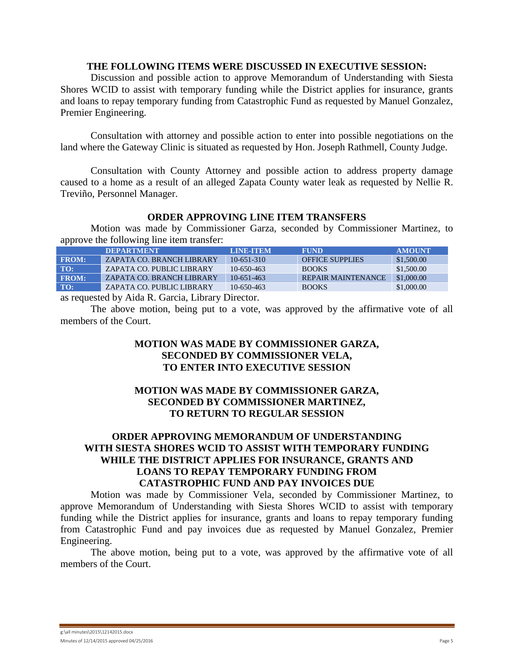#### **THE FOLLOWING ITEMS WERE DISCUSSED IN EXECUTIVE SESSION:**

Discussion and possible action to approve Memorandum of Understanding with Siesta Shores WCID to assist with temporary funding while the District applies for insurance, grants and loans to repay temporary funding from Catastrophic Fund as requested by Manuel Gonzalez, Premier Engineering.

Consultation with attorney and possible action to enter into possible negotiations on the land where the Gateway Clinic is situated as requested by Hon. Joseph Rathmell, County Judge.

Consultation with County Attorney and possible action to address property damage caused to a home as a result of an alleged Zapata County water leak as requested by Nellie R. Treviño, Personnel Manager.

### **ORDER APPROVING LINE ITEM TRANSFERS**

Motion was made by Commissioner Garza, seconded by Commissioner Martinez, to approve the following line item transfer:

|                | <b>IDEPARTMENT</b>        | <b>TEINE-ITEMA</b> | <b>FUND</b>               | <b>AMOUNT</b> |
|----------------|---------------------------|--------------------|---------------------------|---------------|
| $F_{\rm ROM}:$ | ZAPATA CO. BRANCH LIBRARY | $10-651-310$       | <b>OFFICE SUPPLIES</b>    | \$1,500.00    |
| TO:            | ZAPATA CO. PUBLIC LIBRARY | $10-650-463$       | <b>BOOKS</b>              | \$1,500.00    |
| <b>FROM:</b>   | ZAPATA CO. BRANCH LIBRARY | $10-651-463$       | <b>REPAIR MAINTENANCE</b> | \$1,000.00    |
| TO:            | ZAPATA CO. PUBLIC LIBRARY | $10-650-463$       | <b>BOOKS</b>              | \$1,000.00    |

as requested by Aida R. Garcia, Library Director.

The above motion, being put to a vote, was approved by the affirmative vote of all members of the Court.

### **MOTION WAS MADE BY COMMISSIONER GARZA, SECONDED BY COMMISSIONER VELA, TO ENTER INTO EXECUTIVE SESSION**

### **MOTION WAS MADE BY COMMISSIONER GARZA, SECONDED BY COMMISSIONER MARTINEZ, TO RETURN TO REGULAR SESSION**

### **ORDER APPROVING MEMORANDUM OF UNDERSTANDING WITH SIESTA SHORES WCID TO ASSIST WITH TEMPORARY FUNDING WHILE THE DISTRICT APPLIES FOR INSURANCE, GRANTS AND LOANS TO REPAY TEMPORARY FUNDING FROM CATASTROPHIC FUND AND PAY INVOICES DUE**

Motion was made by Commissioner Vela, seconded by Commissioner Martinez, to approve Memorandum of Understanding with Siesta Shores WCID to assist with temporary funding while the District applies for insurance, grants and loans to repay temporary funding from Catastrophic Fund and pay invoices due as requested by Manuel Gonzalez, Premier Engineering.

The above motion, being put to a vote, was approved by the affirmative vote of all members of the Court.